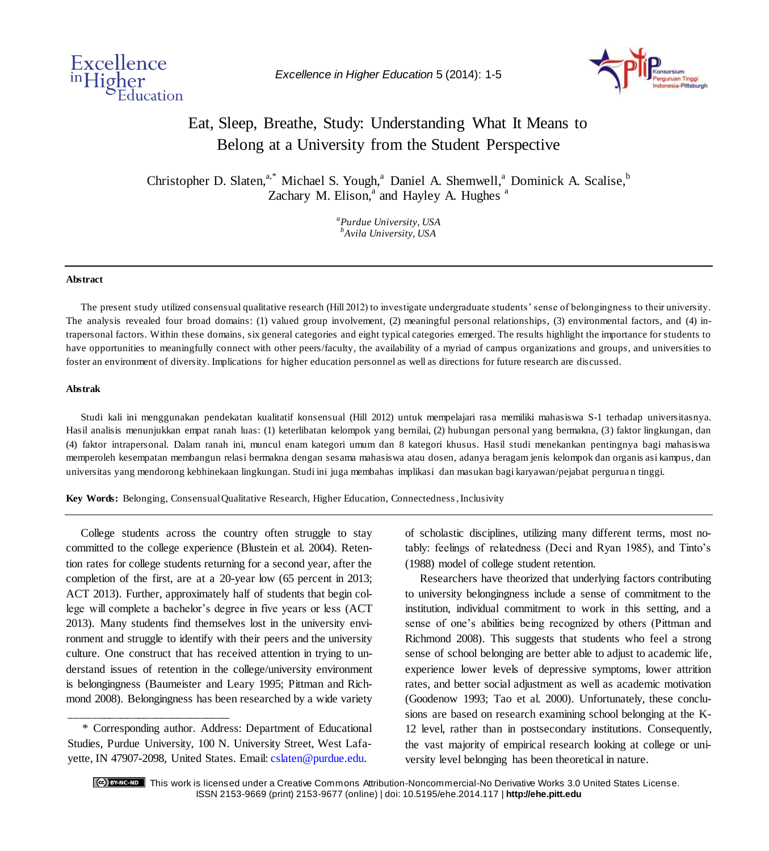

*Excellence in Higher Education* 5 (2014): 1-5



# Eat, Sleep, Breathe, Study: Understanding What It Means to Belong at a University from the Student Perspective

Christopher D. Slaten,<sup>a,\*</sup> Michael S. Yough,<sup>a</sup> Daniel A. Shemwell,<sup>a</sup> Dominick A. Scalise,<sup>b</sup> Zachary M. Elison, $a$  and Hayley A. Hughes  $a$ 

> *a Purdue University, USA b Avila University, USA*

#### **Abstract**

The present study utilized consensual qualitative research (Hill 2012) to investigate undergraduate students' sense of belongingness to their university. The analysis revealed four broad domains: (1) valued group involvement, (2) meaningful personal relationships, (3) environmental factors, and (4) intrapersonal factors. Within these domains, six general categories and eight typical categories emerged. The results highlight the importance for students to have opportunities to meaningfully connect with other peers/faculty, the availability of a myriad of campus organizations and groups, and universities to foster an environment of diversity. Implications for higher education personnel as well as directions for future research are discussed.

#### **Abstrak**

Studi kali ini menggunakan pendekatan kualitatif konsensual (Hill 2012) untuk mempelajari rasa memiliki mahasiswa S-1 terhadap universitasnya. Hasil analisis menunjukkan empat ranah luas: (1) keterlibatan kelompok yang bernilai, (2) hubungan personal yang bermakna, (3) faktor lingkungan, dan (4) faktor intrapersonal. Dalam ranah ini, muncul enam kategori umum dan 8 kategori khusus. Hasil studi menekankan pentingnya bagi mahasiswa memperoleh kesempatan membangun relasi bermakna dengan sesama mahasiswa atau dosen, adanya beragam jenis kelompok dan organis asi kampus, dan universitas yang mendorong kebhinekaan lingkungan. Studi ini juga membahas implikasi dan masukan bagi karyawan/pejabat pergurua n tinggi.

**Key Words:** Belonging, Consensual Qualitative Research, Higher Education, Connectedness, Inclusivity

College students across the country often struggle to stay committed to the college experience (Blustein et al. 2004). Retention rates for college students returning for a second year, after the completion of the first, are at a 20-year low (65 percent in 2013; ACT 2013). Further, approximately half of students that begin college will complete a bachelor's degree in five years or less (ACT 2013). Many students find themselves lost in the university environment and struggle to identify with their peers and the university culture. One construct that has received attention in trying to understand issues of retention in the college/university environment is belongingness (Baumeister and Leary 1995; Pittman and Richmond 2008). Belongingness has been researched by a wide variety

\* Corresponding author. Address: Department of Educational Studies, Purdue University, 100 N. University Street, West Lafayette, IN 47907-2098, United States. Email: cslaten@purdue.edu.

\_\_\_\_\_\_\_\_\_\_\_\_\_\_\_\_\_\_\_\_\_\_\_\_\_\_\_\_

of scholastic disciplines, utilizing many different terms, most notably: feelings of relatedness (Deci and Ryan 1985), and Tinto's (1988) model of college student retention.

Researchers have theorized that underlying factors contributing to university belongingness include a sense of commitment to the institution, individual commitment to work in this setting, and a sense of one's abilities being recognized by others (Pittman and Richmond 2008). This suggests that students who feel a strong sense of school belonging are better able to adjust to academic life, experience lower levels of depressive symptoms, lower attrition rates, and better social adjustment as well as academic motivation (Goodenow 1993; Tao et al. 2000). Unfortunately, these conclusions are based on research examining school belonging at the K-12 level, rather than in postsecondary institutions. Consequently, the vast majority of empirical research looking at college or university level belonging has been theoretical in nature.

This work is licensed under a Creative Commons Attribution-Noncommercial-No Derivative Works 3.0 United States License. ISSN 2153-9669 (print) 2153-9677 (online) | doi: 10.5195/ehe.2014.117 | **http://ehe.pitt.edu**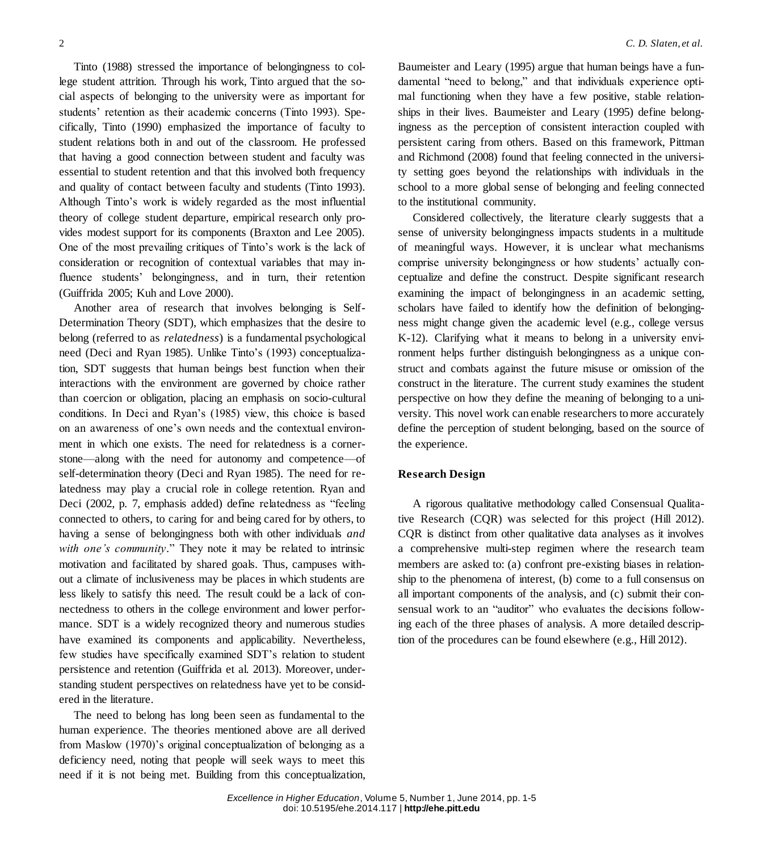Tinto (1988) stressed the importance of belongingness to college student attrition. Through his work, Tinto argued that the social aspects of belonging to the university were as important for students' retention as their academic concerns (Tinto 1993). Specifically, Tinto (1990) emphasized the importance of faculty to student relations both in and out of the classroom. He professed that having a good connection between student and faculty was essential to student retention and that this involved both frequency and quality of contact between faculty and students (Tinto 1993). Although Tinto's work is widely regarded as the most influential theory of college student departure, empirical research only provides modest support for its components (Braxton and Lee 2005). One of the most prevailing critiques of Tinto's work is the lack of consideration or recognition of contextual variables that may influence students' belongingness, and in turn, their retention (Guiffrida 2005; Kuh and Love 2000).

Another area of research that involves belonging is Self-Determination Theory (SDT), which emphasizes that the desire to belong (referred to as *relatedness*) is a fundamental psychological need (Deci and Ryan 1985). Unlike Tinto's (1993) conceptualization, SDT suggests that human beings best function when their interactions with the environment are governed by choice rather than coercion or obligation, placing an emphasis on socio-cultural conditions. In Deci and Ryan's (1985) view, this choice is based on an awareness of one's own needs and the contextual environment in which one exists. The need for relatedness is a cornerstone—along with the need for autonomy and competence—of self-determination theory (Deci and Ryan 1985). The need for relatedness may play a crucial role in college retention. Ryan and Deci (2002, p. 7, emphasis added) define relatedness as "feeling connected to others, to caring for and being cared for by others, to having a sense of belongingness both with other individuals *and with one's community*." They note it may be related to intrinsic motivation and facilitated by shared goals. Thus, campuses without a climate of inclusiveness may be places in which students are less likely to satisfy this need. The result could be a lack of connectedness to others in the college environment and lower performance. SDT is a widely recognized theory and numerous studies have examined its components and applicability. Nevertheless, few studies have specifically examined SDT's relation to student persistence and retention (Guiffrida et al. 2013). Moreover, understanding student perspectives on relatedness have yet to be considered in the literature.

The need to belong has long been seen as fundamental to the human experience. The theories mentioned above are all derived from Maslow (1970)'s original conceptualization of belonging as a deficiency need, noting that people will seek ways to meet this need if it is not being met. Building from this conceptualization, Baumeister and Leary (1995) argue that human beings have a fundamental "need to belong," and that individuals experience optimal functioning when they have a few positive, stable relationships in their lives. Baumeister and Leary (1995) define belongingness as the perception of consistent interaction coupled with persistent caring from others. Based on this framework, Pittman and Richmond (2008) found that feeling connected in the university setting goes beyond the relationships with individuals in the school to a more global sense of belonging and feeling connected to the institutional community.

Considered collectively, the literature clearly suggests that a sense of university belongingness impacts students in a multitude of meaningful ways. However, it is unclear what mechanisms comprise university belongingness or how students' actually conceptualize and define the construct. Despite significant research examining the impact of belongingness in an academic setting, scholars have failed to identify how the definition of belongingness might change given the academic level (e.g., college versus K-12). Clarifying what it means to belong in a university environment helps further distinguish belongingness as a unique construct and combats against the future misuse or omission of the construct in the literature. The current study examines the student perspective on how they define the meaning of belonging to a university. This novel work can enable researchers to more accurately define the perception of student belonging, based on the source of the experience.

# **Research Design**

A rigorous qualitative methodology called Consensual Qualitative Research (CQR) was selected for this project (Hill 2012). CQR is distinct from other qualitative data analyses as it involves a comprehensive multi-step regimen where the research team members are asked to: (a) confront pre-existing biases in relationship to the phenomena of interest, (b) come to a full consensus on all important components of the analysis, and (c) submit their consensual work to an "auditor" who evaluates the decisions following each of the three phases of analysis. A more detailed description of the procedures can be found elsewhere (e.g., Hill 2012).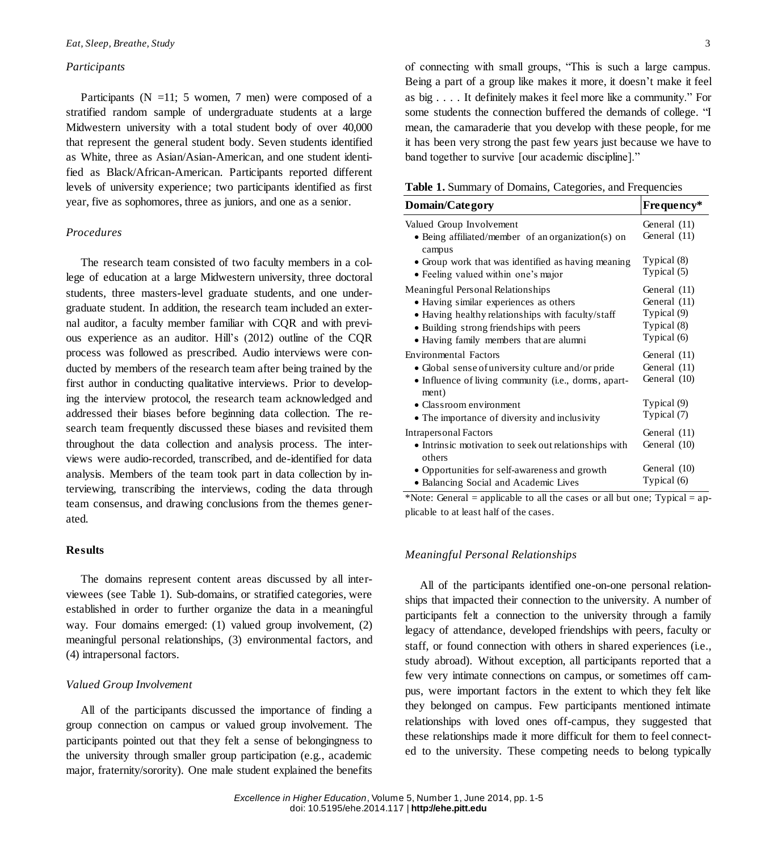## *Participants*

Participants ( $N = 11$ ; 5 women, 7 men) were composed of a stratified random sample of undergraduate students at a large Midwestern university with a total student body of over 40,000 that represent the general student body. Seven students identified as White, three as Asian/Asian-American, and one student identified as Black/African-American. Participants reported different levels of university experience; two participants identified as first year, five as sophomores, three as juniors, and one as a senior.

# *Procedures*

The research team consisted of two faculty members in a college of education at a large Midwestern university, three doctoral students, three masters-level graduate students, and one undergraduate student. In addition, the research team included an external auditor, a faculty member familiar with CQR and with previous experience as an auditor. Hill's (2012) outline of the CQR process was followed as prescribed. Audio interviews were conducted by members of the research team after being trained by the first author in conducting qualitative interviews. Prior to developing the interview protocol, the research team acknowledged and addressed their biases before beginning data collection. The research team frequently discussed these biases and revisited them throughout the data collection and analysis process. The interviews were audio-recorded, transcribed, and de-identified for data analysis. Members of the team took part in data collection by interviewing, transcribing the interviews, coding the data through team consensus, and drawing conclusions from the themes generated.

## **Results**

The domains represent content areas discussed by all interviewees (see Table 1). Sub-domains, or stratified categories, were established in order to further organize the data in a meaningful way. Four domains emerged: (1) valued group involvement, (2) meaningful personal relationships, (3) environmental factors, and (4) intrapersonal factors.

## *Valued Group Involvement*

All of the participants discussed the importance of finding a group connection on campus or valued group involvement. The participants pointed out that they felt a sense of belongingness to the university through smaller group participation (e.g., academic major, fraternity/sorority). One male student explained the benefits of connecting with small groups, "This is such a large campus. Being a part of a group like makes it more, it doesn't make it feel as big . . . . It definitely makes it feel more like a community." For some students the connection buffered the demands of college. "I mean, the camaraderie that you develop with these people, for me it has been very strong the past few years just because we have to band together to survive [our academic discipline]."

| <b>Table 1.</b> Summary of Domains, Categories, and Frequencies |  |
|-----------------------------------------------------------------|--|
|-----------------------------------------------------------------|--|

| Domain/Category                                                                                 | Frequency*                   |
|-------------------------------------------------------------------------------------------------|------------------------------|
| Valued Group Involvement<br>• Being affiliated/member of an organization(s) on<br>campus        | General (11)<br>General (11) |
| • Group work that was identified as having meaning                                              | Typical (8)                  |
| • Feeling valued within one's major                                                             | Typical (5)                  |
| Meaningful Personal Relationships                                                               | General (11)                 |
| • Having similar experiences as others                                                          | General (11)                 |
| • Having healthy relationships with faculty/staff                                               | Typical (9)                  |
| • Building strong friendships with peers                                                        | Typical (8)                  |
| • Having family members that are alumni                                                         | Typical (6)                  |
| Environmental Factors                                                                           | General (11)                 |
| • Global sense of university culture and/or pride                                               | General (11)                 |
| • Influence of living community (i.e., dorms, apart-                                            | General (10)                 |
| ment)                                                                                           | Typical (9)                  |
| • Classroom environment<br>• The importance of diversity and inclusivity                        | Typical (7)                  |
| <b>Intrapersonal Factors</b><br>• Intrinsic motivation to seek out relationships with<br>others | General (11)<br>General (10) |
| • Opportunities for self-awareness and growth                                                   | General (10)                 |
| • Balancing Social and Academic Lives                                                           | Typical (6)                  |

\*Note: General = applicable to all the cases or all but one; Typical = applicable to at least half of the cases.

## *Meaningful Personal Relationships*

All of the participants identified one-on-one personal relationships that impacted their connection to the university. A number of participants felt a connection to the university through a family legacy of attendance, developed friendships with peers, faculty or staff, or found connection with others in shared experiences (i.e., study abroad). Without exception, all participants reported that a few very intimate connections on campus, or sometimes off campus, were important factors in the extent to which they felt like they belonged on campus. Few participants mentioned intimate relationships with loved ones off-campus, they suggested that these relationships made it more difficult for them to feel connected to the university. These competing needs to belong typically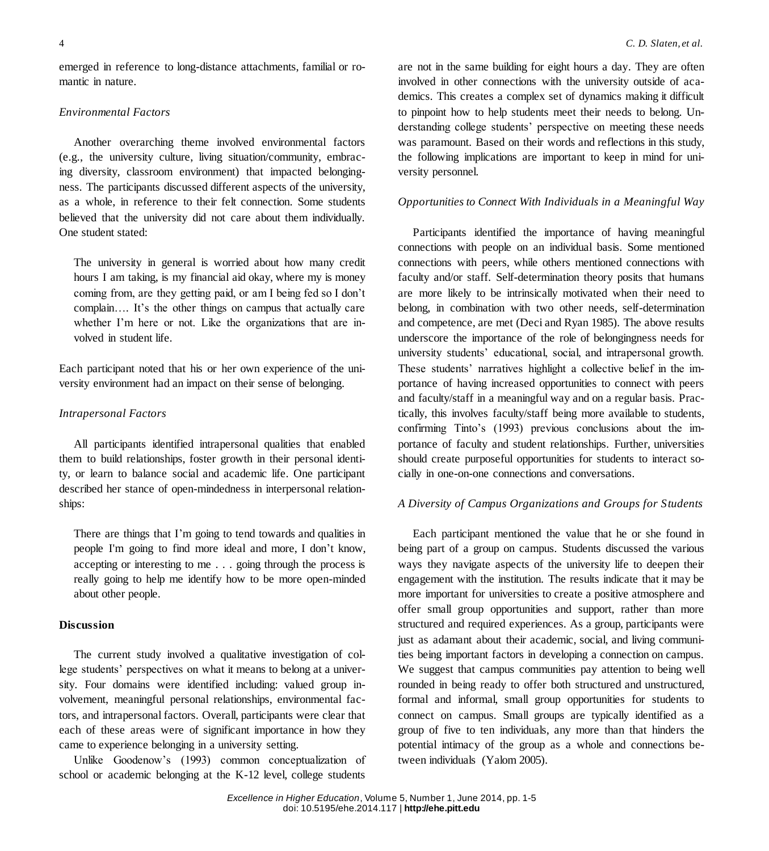emerged in reference to long-distance attachments, familial or romantic in nature.

#### *Environmental Factors*

Another overarching theme involved environmental factors (e.g., the university culture, living situation/community, embracing diversity, classroom environment) that impacted belongingness. The participants discussed different aspects of the university, as a whole, in reference to their felt connection. Some students believed that the university did not care about them individually. One student stated:

The university in general is worried about how many credit hours I am taking, is my financial aid okay, where my is money coming from, are they getting paid, or am I being fed so I don't complain…. It's the other things on campus that actually care whether I'm here or not. Like the organizations that are involved in student life.

Each participant noted that his or her own experience of the university environment had an impact on their sense of belonging.

## *Intrapersonal Factors*

All participants identified intrapersonal qualities that enabled them to build relationships, foster growth in their personal identity, or learn to balance social and academic life. One participant described her stance of open-mindedness in interpersonal relationships:

There are things that I'm going to tend towards and qualities in people I'm going to find more ideal and more, I don't know, accepting or interesting to me . . . going through the process is really going to help me identify how to be more open-minded about other people.

#### **Discussion**

The current study involved a qualitative investigation of college students' perspectives on what it means to belong at a university. Four domains were identified including: valued group involvement, meaningful personal relationships, environmental factors, and intrapersonal factors. Overall, participants were clear that each of these areas were of significant importance in how they came to experience belonging in a university setting.

Unlike Goodenow's (1993) common conceptualization of school or academic belonging at the K-12 level, college students are not in the same building for eight hours a day. They are often involved in other connections with the university outside of academics. This creates a complex set of dynamics making it difficult to pinpoint how to help students meet their needs to belong. Understanding college students' perspective on meeting these needs was paramount. Based on their words and reflections in this study, the following implications are important to keep in mind for university personnel.

## *Opportunities to Connect With Individuals in a Meaningful Way*

Participants identified the importance of having meaningful connections with people on an individual basis. Some mentioned connections with peers, while others mentioned connections with faculty and/or staff. Self-determination theory posits that humans are more likely to be intrinsically motivated when their need to belong, in combination with two other needs, self-determination and competence, are met (Deci and Ryan 1985). The above results underscore the importance of the role of belongingness needs for university students' educational, social, and intrapersonal growth. These students' narratives highlight a collective belief in the importance of having increased opportunities to connect with peers and faculty/staff in a meaningful way and on a regular basis. Practically, this involves faculty/staff being more available to students, confirming Tinto's (1993) previous conclusions about the importance of faculty and student relationships. Further, universities should create purposeful opportunities for students to interact socially in one-on-one connections and conversations*.*

#### *A Diversity of Campus Organizations and Groups for Students*

Each participant mentioned the value that he or she found in being part of a group on campus. Students discussed the various ways they navigate aspects of the university life to deepen their engagement with the institution. The results indicate that it may be more important for universities to create a positive atmosphere and offer small group opportunities and support, rather than more structured and required experiences. As a group, participants were just as adamant about their academic, social, and living communities being important factors in developing a connection on campus. We suggest that campus communities pay attention to being well rounded in being ready to offer both structured and unstructured, formal and informal, small group opportunities for students to connect on campus. Small groups are typically identified as a group of five to ten individuals, any more than that hinders the potential intimacy of the group as a whole and connections between individuals (Yalom 2005).